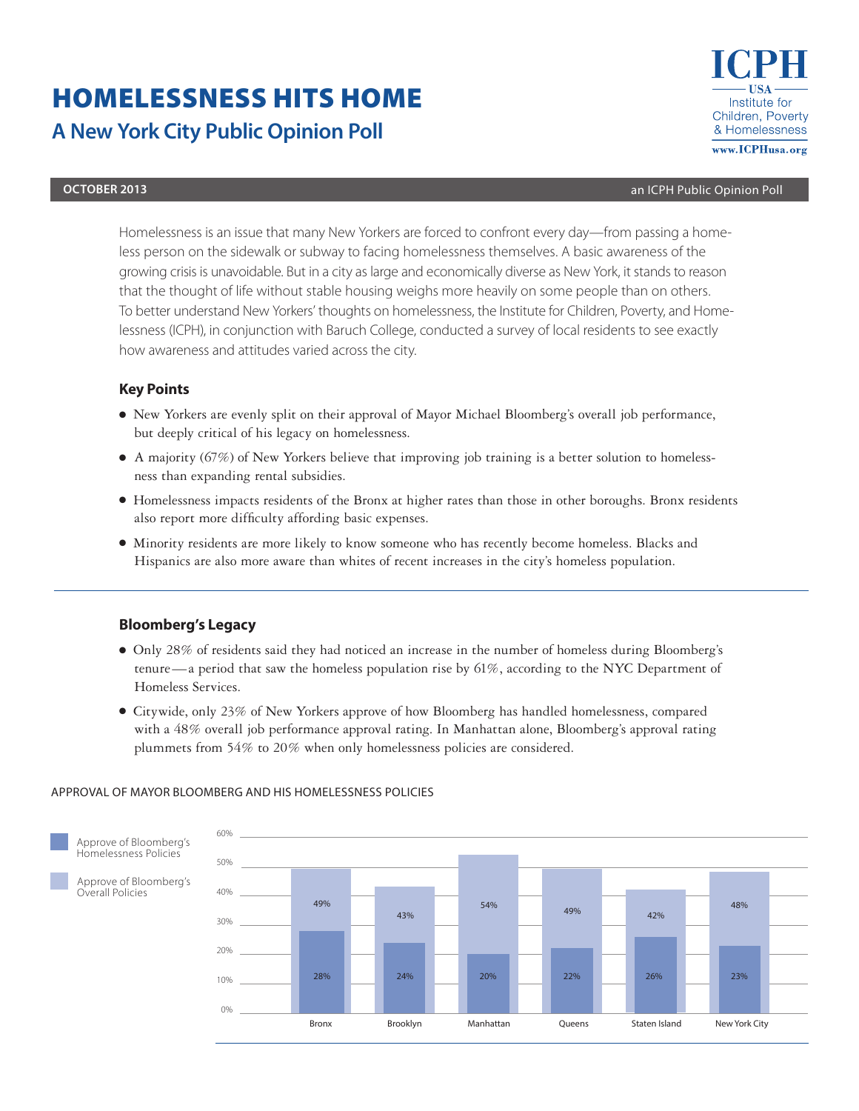# HOMELESSNESS HITS HOME **A New York City Public Opinion Poll**



#### **october 2013** an ICPH Public Opinion Poll

Homelessness is an issue that many New Yorkers are forced to confront every day—from passing a homeless person on the sidewalk or subway to facing homelessness themselves. A basic awareness of the growing crisis is unavoidable. But in a city as large and economically diverse as New York, it stands to reason that the thought of life without stable housing weighs more heavily on some people than on others. To better understand New Yorkers' thoughts on homelessness, the Institute for Children, Poverty, and Homelessness (ICPH), in conjunction with Baruch College, conducted a survey of local residents to see exactly how awareness and attitudes varied across the city.

# **Key Points**

- New Yorkers are evenly split on their approval of Mayor Michael Bloomberg's overall job performance, but deeply critical of his legacy on homelessness.
- A majority (67%) of New Yorkers believe that improving job training is a better solution to homelessness than expanding rental subsidies.
- Homelessness impacts residents of the Bronx at higher rates than those in other boroughs. Bronx residents also report more difficulty affording basic expenses.
- Minority residents are more likely to know someone who has recently become homeless. Blacks and Hispanics are also more aware than whites of recent increases in the city's homeless population.

# **Bloomberg's Legacy**

- Only 28% of residents said they had noticed an increase in the number of homeless during Bloomberg's tenure—a period that saw the homeless population rise by 61%, according to the NYC Department of Homeless Services.
- Citywide, only 23% of New Yorkers approve of how Bloomberg has handled homelessness, compared with a 48% overall job performance approval rating. In Manhattan alone, Bloomberg's approval rating plummets from 54% to 20% when only homelessness policies are considered.



### Approval of Mayor Bloomberg and his Homelessness Policies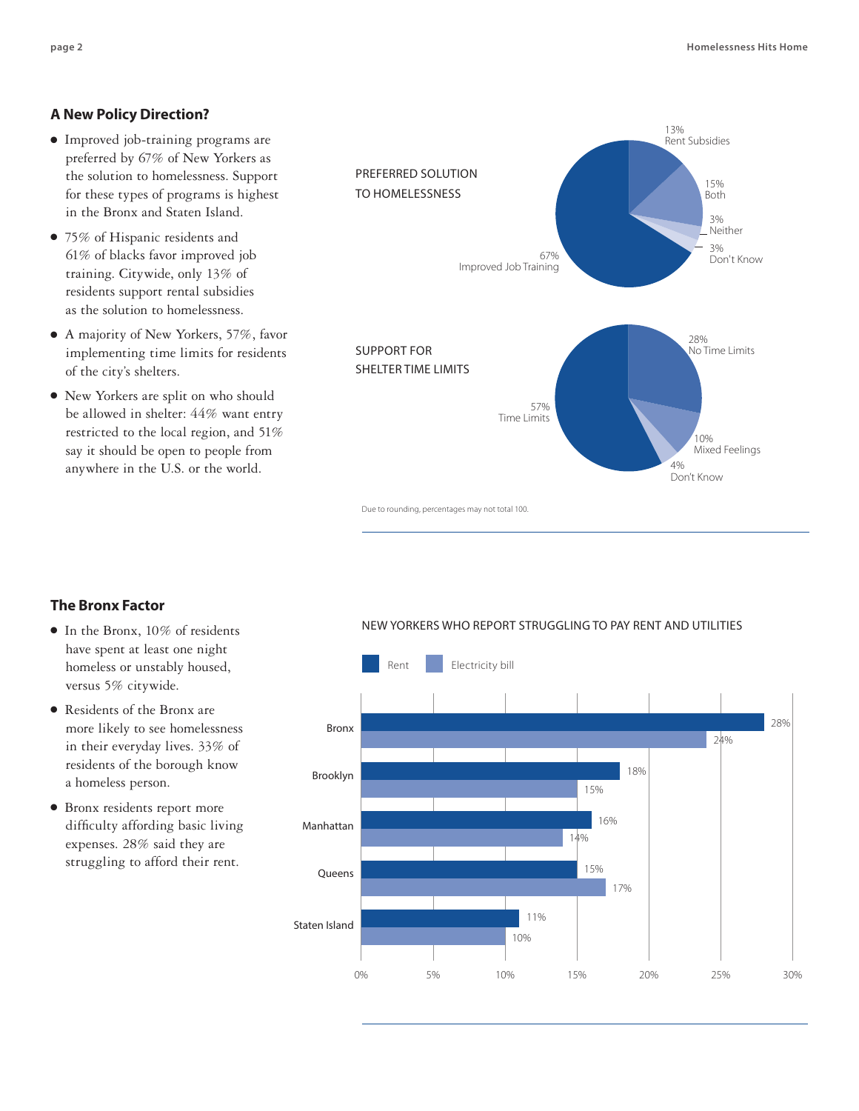# **A New Policy Direction?**

- Improved job-training programs are preferred by 67% of New Yorkers as the solution to homelessness. Support for these types of programs is highest in the Bronx and Staten Island.
- 75% of Hispanic residents and 61% of blacks favor improved job training. Citywide, only 13% of residents support rental subsidies as the solution to homelessness.
- A majority of New Yorkers, 57%, favor implementing time limits for residents of the city's shelters.
- New Yorkers are split on who should be allowed in shelter: 44% want entry restricted to the local region, and 51% say it should be open to people from anywhere in the U.S. or the world.



Due to rounding, percentages may not total 100.

# **The Bronx Factor**

- In the Bronx, 10% of residents have spent at least one night homeless or unstably housed, versus 5% citywide.
- Residents of the Bronx are more likely to see homelessness in their everyday lives. 33% of residents of the borough know a homeless person.
- Bronx residents report more difficulty affording basic living expenses. 28% said they are struggling to afford their rent.

### New Yorkers WHO REPORT Struggling to Pay Rent and Utilities

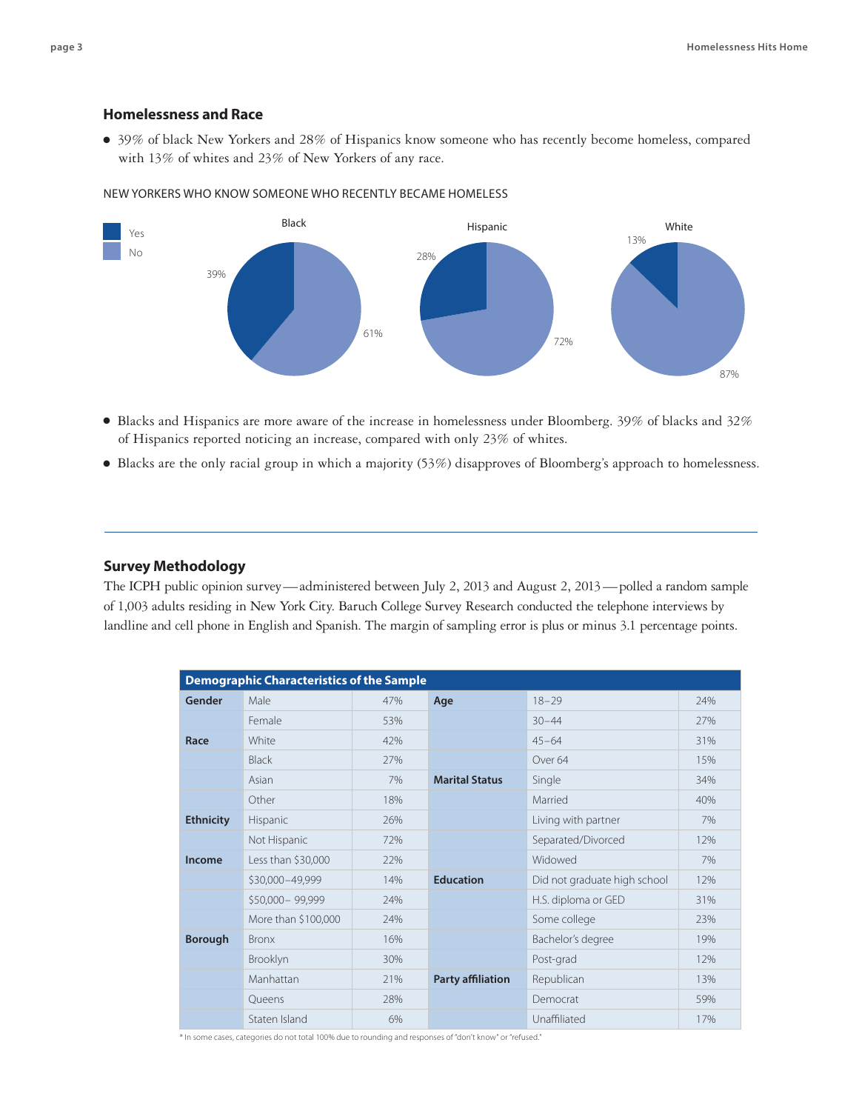# **Homelessness and Race**

● 39% of black New Yorkers and 28% of Hispanics know someone who has recently become homeless, compared with 13% of whites and 23% of New Yorkers of any race.

#### New Yorkers Who Know Someone Who Recently Became Homeless



- Blacks and Hispanics are more aware of the increase in homelessness under Bloomberg. 39% of blacks and 32% of Hispanics reported noticing an increase, compared with only 23% of whites.
- Blacks are the only racial group in which a majority (53%) disapproves of Bloomberg's approach to homelessness.

## **Survey Methodology**

The ICPH public opinion survey—administered between July 2, 2013 and August 2, 2013—polled a random sample of 1,003 adults residing in New York City. Baruch College Survey Research conducted the telephone interviews by landline and cell phone in English and Spanish. The margin of sampling error is plus or minus 3.1 percentage points.

| <b>Demographic Characteristics of the Sample</b> |                     |     |                          |                              |     |
|--------------------------------------------------|---------------------|-----|--------------------------|------------------------------|-----|
| Gender                                           | Male                | 47% | Age                      | $18 - 29$                    | 24% |
|                                                  | Female              | 53% |                          | $30 - 44$                    | 27% |
| Race                                             | White               | 42% |                          | $45 - 64$                    | 31% |
|                                                  | <b>Black</b>        | 27% |                          | Over <sub>64</sub>           | 15% |
|                                                  | Asian               | 7%  | <b>Marital Status</b>    | Single                       | 34% |
|                                                  | Other               | 18% |                          | Married                      | 40% |
| <b>Ethnicity</b>                                 | Hispanic            | 26% |                          | Living with partner          | 7%  |
|                                                  | Not Hispanic        | 72% |                          | Separated/Divorced           | 12% |
| Income                                           | Less than \$30,000  | 22% |                          | Widowed                      | 7%  |
|                                                  | \$30,000-49,999     | 14% | <b>Education</b>         | Did not graduate high school | 12% |
|                                                  | \$50,000-99,999     | 24% |                          | H.S. diploma or GED          | 31% |
|                                                  | More than \$100,000 | 24% |                          | Some college                 | 23% |
| <b>Borough</b>                                   | <b>Bronx</b>        | 16% |                          | Bachelor's degree            | 19% |
|                                                  | Brooklyn            | 30% |                          | Post-grad                    | 12% |
|                                                  | Manhattan           | 21% | <b>Party affiliation</b> | Republican                   | 13% |
|                                                  | Queens              | 28% |                          | Democrat                     | 59% |
|                                                  | Staten Island       | 6%  |                          | Unaffiliated                 | 17% |

\* In some cases, categories do not total 100% due to rounding and responses of "don't know" or "refused."